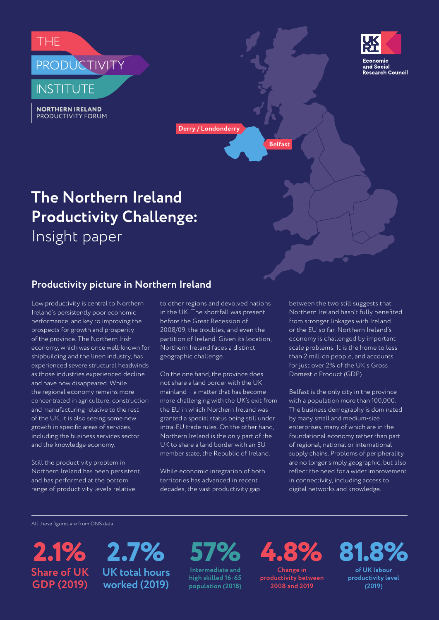





**Derry / Londonderry**

**Belfast**

# **The Northern Ireland Productivity Challenge:** Insight paper

# **Productivity picture in Northern Ireland**

Low productivity is central to Northern Ireland's persistently poor economic performance, and key to improving the prospects for growth and prosperity of the province. The Northern Irish economy, which was once well-known for shipbuilding and the linen industry, has experienced severe structural headwinds as those industries experienced decline and have now disappeared. While the regional economy remains more concentrated in agriculture, construction and manufacturing relative to the rest of the UK, it is also seeing some new growth in specific areas of services, including the business services sector and the knowledge economy.

Still the productivity problem in Northern Ireland has been persistent, and has performed at the bottom range of productivity levels relative

to other regions and devolved nations in the UK. The shortfall was present before the Great Recession of 2008/09, the troubles, and even the partition of Ireland. Given its location, Northern Ireland faces a distinct geographic challenge.

On the one hand, the province does not share a land border with the UK mainland – a matter that has become more challenging with the UK's exit from the EU in which Northern Ireland was granted a special status being still under intra-EU trade rules. On the other hand, Northern Ireland is the only part of the UK to share a land border with an EU member state, the Republic of Ireland.

While economic integration of both territories has advanced in recent decades, the vast productivity gap

between the two still suggests that Northern Ireland hasn't fully benefited from stronger linkages with Ireland or the EU so far. Northern Ireland's economy is challenged by important scale problems. It is the home to less than 2 million people, and accounts for just over 2% of the UK's Gross Domestic Product (GDP).

Belfast is the only city in the province with a population more than 100,000. The business demography is dominated by many small and medium-size enterprises, many of which are in the foundational economy rather than part of regional, national or international supply chains. Problems of peripherality are no longer simply geographic, but also reflect the need for a wider improvement in connectivity, including access to digital networks and knowledge.

All these figures are from ONS data

**2.1% 2.7% Share of UK GDP (2019) UK total hours worked (2019)**

**Intermediate and 57%**

**high skilled 16-65 population (2018)**

**4.8% Change in** 

**productivity between 2008 and 2019**

**81.8%**

**of UK labour productivity level (2019)**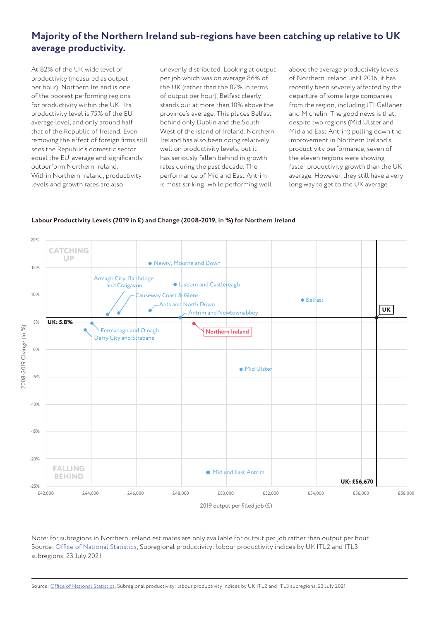# **Majority of the Northern Ireland sub-regions have been catching up relative to UK average productivity.**

At 82% of the UK wide level of productivity (measured as output per hour), Northern Ireland is one of the poorest performing regions for productivity within the UK. Its productivity level is 75% of the EUaverage level, and only around half that of the Republic of Ireland. Even removing the effect of foreign firms still sees the Republic's domestic sector equal the EU-average and significantly outperform Northern Ireland. Within Northern Ireland, productivity levels and growth rates are also

unevenly distributed. Looking at output per job which was on average 86% of the UK (rather than the 82% in terms of output per hour), Belfast clearly stands out at more than 10% above the province's average. This places Belfast behind only Dublin and the South West of the island of Ireland. Northern Ireland has also been doing relatively well on productivity levels, but it has seriously fallen behind in growth rates during the past decade. The performance of Mid and East Antrim is most striking: while performing well

above the average productivity levels of Northern Ireland until 2016, it has recently been severely affected by the departure of some large companies from the region, including JTI Gallaher and Michelin. The good news is that, despite two regions (Mid Ulster and Mid and East Antrim) pulling down the improvement in Northern Ireland's productivity performance, seven of the eleven regions were showing faster productivity growth than the UK average. However, they still have a very long way to get to the UK average.



#### **Labour Productivity Levels (2019 in £) and Change (2008-2019, in %) for Northern Ireland**

Note: for subregions in Northern Ireland estimates are only available for output per job rather than output per hour. Source: Office of National Statistics, Subregional productivity: labour productivity indices by UK ITL2 and ITL3 subregions, 23 July 2021

Source: Office of National Statistics, Subregional productivity: labour productivity indices by UK ITL2 and ITL3 subregions, 23 July 2021.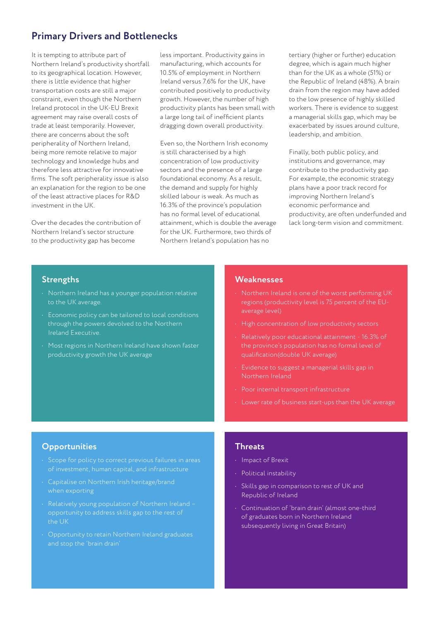## **Primary Drivers and Bottlenecks**

It is tempting to attribute part of Northern Ireland's productivity shortfall to its geographical location. However, there is little evidence that higher transportation costs are still a major constraint, even though the Northern Ireland protocol in the UK-EU Brexit agreement may raise overall costs of trade at least temporarily. However, there are concerns about the soft peripherality of Northern Ireland, being more remote relative to major technology and knowledge hubs and therefore less attractive for innovative firms. The soft peripherality issue is also an explanation for the region to be one of the least attractive places for R&D investment in the UK.

Over the decades the contribution of Northern Ireland's sector structure to the productivity gap has become

less important. Productivity gains in manufacturing, which accounts for 10.5% of employment in Northern Ireland versus 7.6% for the UK, have contributed positively to productivity growth. However, the number of high productivity plants has been small with a large long tail of inefficient plants dragging down overall productivity.

Even so, the Northern Irish economy is still characterised by a high concentration of low productivity sectors and the presence of a large foundational economy. As a result, the demand and supply for highly skilled labour is weak. As much as 16.3% of the province's population has no formal level of educational attainment, which is double the average for the UK. Furthermore, two thirds of Northern Ireland's population has no

tertiary (higher or further) education degree, which is again much higher than for the UK as a whole (51%) or the Republic of Ireland (48%). A brain drain from the region may have added to the low presence of highly skilled workers. There is evidence to suggest a managerial skills gap, which may be exacerbated by issues around culture, leadership, and ambition.

Finally, both public policy, and institutions and governance, may contribute to the productivity gap. For example, the economic strategy plans have a poor track record for improving Northern Ireland's economic performance and productivity, are often underfunded and lack long-term vision and commitment.

#### **Strengths**

- Northern Ireland has a younger population relative to the UK average.
- Economic policy can be tailored to local conditions through the powers devolved to the Northern Ireland Executive.
- Most regions in Northern Ireland have shown faster productivity growth the UK average

#### **Weaknesses**

- regions (productivity level is 75 percent of the EUaverage level)
- High concentration of low productivity sectors
- Relatively poor educational attainment 16.3% of the province's population has no formal level of qualification(double UK average)
- Evidence to suggest a managerial skills gap in Northern Ireland
- Poor internal transport infrastructure
- Lower rate of business start-ups than the UK average

#### **Opportunities**

- Scope for policy to correct previous failures in areas of investment, human capital, and infrastructure
- Capitalise on Northern Irish heritage/brand when exporting
- Relatively young population of Northern Ireland opportunity to address skills gap to the rest of the UK
- Opportunity to retain Northern Ireland graduates

#### **Threats**

- Impact of Brexit
- Political instability
- Skills gap in comparison to rest of UK and Republic of Ireland
- Continuation of 'brain drain' (almost one-third of graduates born in Northern Ireland subsequently living in Great Britain)